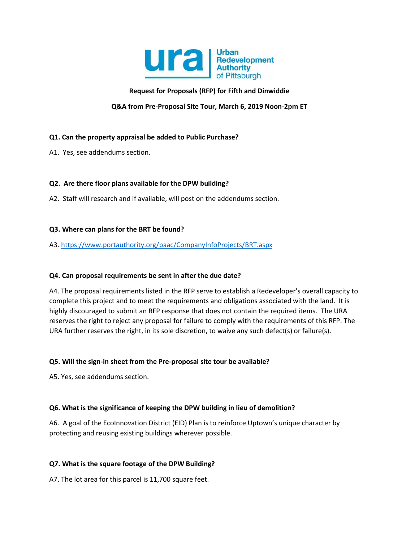

# **Request for Proposals (RFP) for Fifth and Dinwiddie**

# **Q&A from Pre-Proposal Site Tour, March 6, 2019 Noon-2pm ET**

# **Q1. Can the property appraisal be added to Public Purchase?**

A1. Yes, see addendums section.

## **Q2. Are there floor plans available for the DPW building?**

A2. Staff will research and if available, will post on the addendums section.

## **Q3. Where can plans for the BRT be found?**

# A3. <https://www.portauthority.org/paac/CompanyInfoProjects/BRT.aspx>

# **Q4. Can proposal requirements be sent in after the due date?**

A4. The proposal requirements listed in the RFP serve to establish a Redeveloper's overall capacity to complete this project and to meet the requirements and obligations associated with the land. It is highly discouraged to submit an RFP response that does not contain the required items. The URA reserves the right to reject any proposal for failure to comply with the requirements of this RFP. The URA further reserves the right, in its sole discretion, to waive any such defect(s) or failure(s).

#### **Q5. Will the sign-in sheet from the Pre-proposal site tour be available?**

A5. Yes, see addendums section.

#### **Q6. What is the significance of keeping the DPW building in lieu of demolition?**

A6. A goal of the EcoInnovation District (EID) Plan is to reinforce Uptown's unique character by protecting and reusing existing buildings wherever possible.

# **Q7. What is the square footage of the DPW Building?**

A7. The lot area for this parcel is 11,700 square feet.